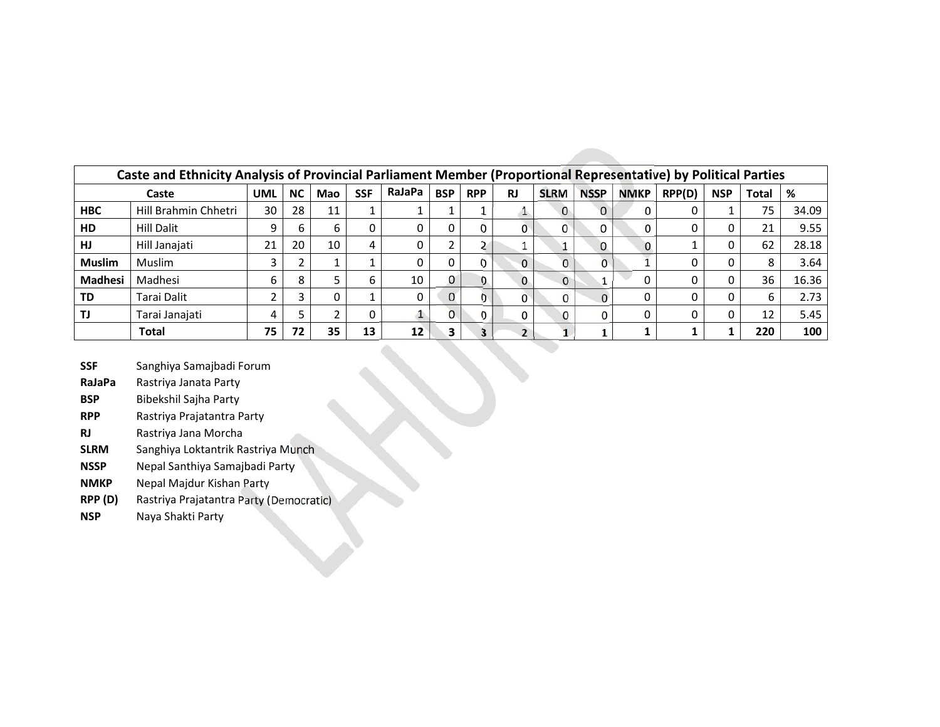| Caste and Ethnicity Analysis of Provincial Parliament Member (Proportional Representative) by Political Parties |                      |           |     |            |        |            |            |           |              |             |             |        |            |              |     |       |
|-----------------------------------------------------------------------------------------------------------------|----------------------|-----------|-----|------------|--------|------------|------------|-----------|--------------|-------------|-------------|--------|------------|--------------|-----|-------|
|                                                                                                                 | <b>UML</b>           | <b>NC</b> | Mao | <b>SSF</b> | RaJaPa | <b>BSP</b> | <b>RPP</b> | <b>RJ</b> | <b>SLRM</b>  | <b>NSSP</b> | <b>NMKP</b> | RPP(D) | <b>NSP</b> | <b>Total</b> | %   |       |
| <b>HBC</b>                                                                                                      | Hill Brahmin Chhetri | 30        | 28  | 11         |        |            |            |           |              |             | $\Omega$    |        |            |              | 75  | 34.09 |
| HD                                                                                                              | <b>Hill Dalit</b>    |           | b   | b          |        |            |            |           |              |             |             |        |            | 0            | 21  | 9.55  |
| HJ                                                                                                              | Hill Janajati        | 21        | 20  | 10         | 4      |            |            |           |              |             | $\Omega$    |        |            |              | 62  | 28.18 |
| <b>Muslim</b>                                                                                                   | Muslim               |           |     |            |        |            |            |           | $\mathbf{0}$ | 0           |             |        |            |              |     | 3.64  |
| <b>Madhesi</b>                                                                                                  | Madhesi              | b         | 8   |            | b      | 10         |            |           | $\Omega$     | $^{\circ}$  |             |        |            |              | 36  | 16.36 |
| TD                                                                                                              | Tarai Dalit          |           |     |            |        |            | $\Omega$   | 0         |              |             |             |        |            |              |     | 2.73  |
|                                                                                                                 | Tarai Janajati       |           |     |            |        |            | 0          | 0         |              | 0           |             |        |            |              |     | 5.45  |
|                                                                                                                 | <b>Total</b>         | 75        | 72  | 35         | 13     | 12         | з          | 3         |              |             |             |        |            |              | 220 | 100   |

**SSF** Sanghiya Samajbadi Forum

- **RaJaPa** Rastriya Janata Party
- **BSP** Bibekshil Sajha Party
- **RPP** Rastriya Prajatantra Party
- **RJ** Rastriya Jana Morcha
- **SLRM** Sanghiya Loktantrik Rastriya Munch
- **NSSP** Nepal Santhiya Samajbadi Party
- **NMKP** Nepal Majdur Kishan Party
- **RPP (D)** Rastriya Prajatantra Party (Democratic)
- **NSP** Naya Shakti Party